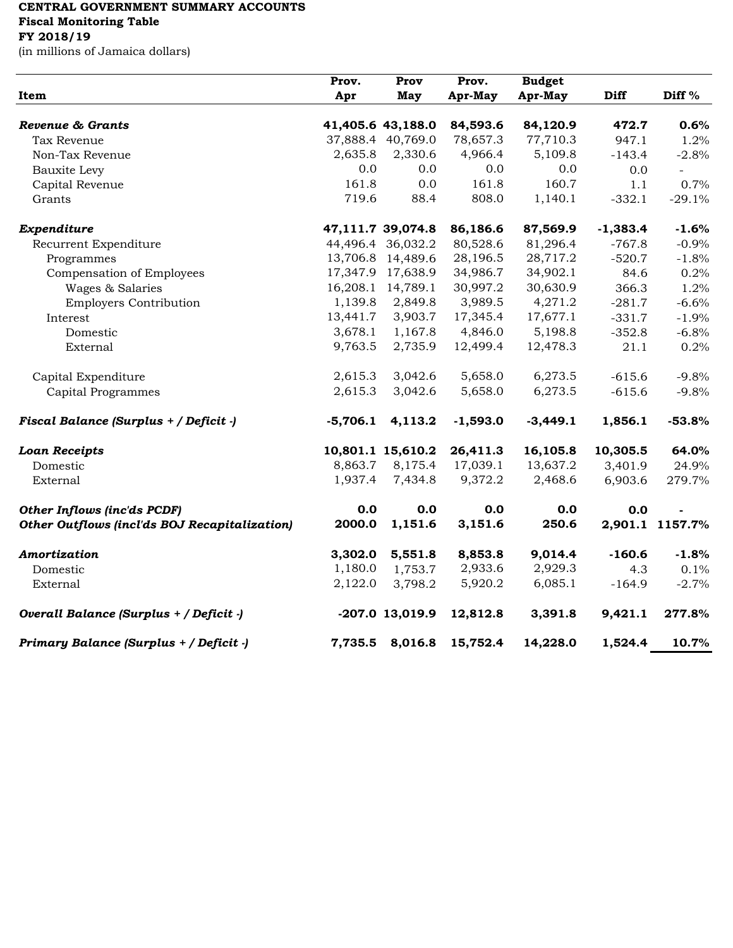## **CENTRAL GOVERNMENT SUMMARY ACCOUNTS Fiscal Monitoring Table FY 2018/19**

(in millions of Jamaica dollars)

| Item                                                 | Prov.      | Prov<br>May       | Prov.<br>Apr-May | <b>Budget</b><br>Apr-May | Diff       | Diff <sup>%</sup>        |
|------------------------------------------------------|------------|-------------------|------------------|--------------------------|------------|--------------------------|
|                                                      | Apr        |                   |                  |                          |            |                          |
| Revenue & Grants                                     |            | 41,405.6 43,188.0 | 84,593.6         | 84,120.9                 | 472.7      | 0.6%                     |
| Tax Revenue                                          |            | 37,888.4 40,769.0 | 78,657.3         | 77,710.3                 | 947.1      | 1.2%                     |
| Non-Tax Revenue                                      | 2,635.8    | 2,330.6           | 4,966.4          | 5,109.8                  | $-143.4$   | $-2.8%$                  |
| <b>Bauxite Levy</b>                                  | 0.0        | 0.0               | 0.0              | 0.0                      | 0.0        | $\overline{\phantom{0}}$ |
| Capital Revenue                                      | 161.8      | 0.0               | 161.8            | 160.7                    | 1.1        | 0.7%                     |
| Grants                                               | 719.6      | 88.4              | 808.0            | 1,140.1                  | $-332.1$   | $-29.1%$                 |
|                                                      |            |                   |                  |                          |            |                          |
| Expenditure                                          |            | 47,111.7 39,074.8 | 86,186.6         | 87,569.9                 | $-1,383.4$ | $-1.6%$                  |
| Recurrent Expenditure                                |            | 44,496.4 36,032.2 | 80,528.6         | 81,296.4                 | $-767.8$   | $-0.9%$                  |
| Programmes                                           |            | 13,706.8 14,489.6 | 28,196.5         | 28,717.2                 | $-520.7$   | $-1.8%$                  |
| Compensation of Employees                            |            | 17,347.9 17,638.9 | 34,986.7         | 34,902.1                 | 84.6       | 0.2%                     |
| Wages & Salaries                                     |            | 16,208.1 14,789.1 | 30,997.2         | 30,630.9                 | 366.3      | 1.2%                     |
| <b>Employers Contribution</b>                        | 1,139.8    | 2,849.8           | 3,989.5          | 4,271.2                  | $-281.7$   | $-6.6%$                  |
| Interest                                             | 13,441.7   | 3,903.7           | 17,345.4         | 17,677.1                 | $-331.7$   | $-1.9%$                  |
| Domestic                                             | 3,678.1    | 1,167.8           | 4,846.0          | 5,198.8                  | $-352.8$   | $-6.8%$                  |
| External                                             | 9,763.5    | 2,735.9           | 12,499.4         | 12,478.3                 | 21.1       | 0.2%                     |
| Capital Expenditure                                  | 2,615.3    | 3,042.6           | 5,658.0          | 6,273.5                  | $-615.6$   | $-9.8%$                  |
| <b>Capital Programmes</b>                            | 2,615.3    | 3,042.6           | 5,658.0          | 6,273.5                  | $-615.6$   | $-9.8%$                  |
| Fiscal Balance (Surplus + / Deficit -)               | $-5,706.1$ | 4,113.2           | $-1,593.0$       | $-3,449.1$               | 1,856.1    | $-53.8%$                 |
| <b>Loan Receipts</b>                                 |            | 10,801.1 15,610.2 | 26,411.3         | 16,105.8                 | 10,305.5   | 64.0%                    |
| Domestic                                             | 8,863.7    | 8,175.4           | 17,039.1         | 13,637.2                 | 3,401.9    | 24.9%                    |
| External                                             | 1,937.4    | 7,434.8           | 9,372.2          | 2,468.6                  | 6,903.6    | 279.7%                   |
| Other Inflows (inc'ds PCDF)                          | 0.0        | 0.0               | 0.0              | 0.0                      | 0.0        |                          |
| <b>Other Outflows (incl'ds BOJ Recapitalization)</b> | 2000.0     | 1,151.6           | 3,151.6          | 250.6                    |            | 2,901.1 1157.7%          |
| Amortization                                         | 3,302.0    | 5,551.8           | 8,853.8          | 9,014.4                  | $-160.6$   | $-1.8%$                  |
| Domestic                                             | 1,180.0    | 1,753.7           | 2,933.6          | 2,929.3                  | 4.3        | 0.1%                     |
| External                                             | 2,122.0    | 3,798.2           | 5,920.2          | 6,085.1                  | $-164.9$   | $-2.7%$                  |
| Overall Balance (Surplus + / Deficit -)              |            | -207.0 13,019.9   | 12,812.8         | 3,391.8                  | 9,421.1    | 277.8%                   |
| Primary Balance (Surplus + / Deficit -)              | 7,735.5    | 8,016.8           | 15,752.4         | 14,228.0                 | 1,524.4    | 10.7%                    |